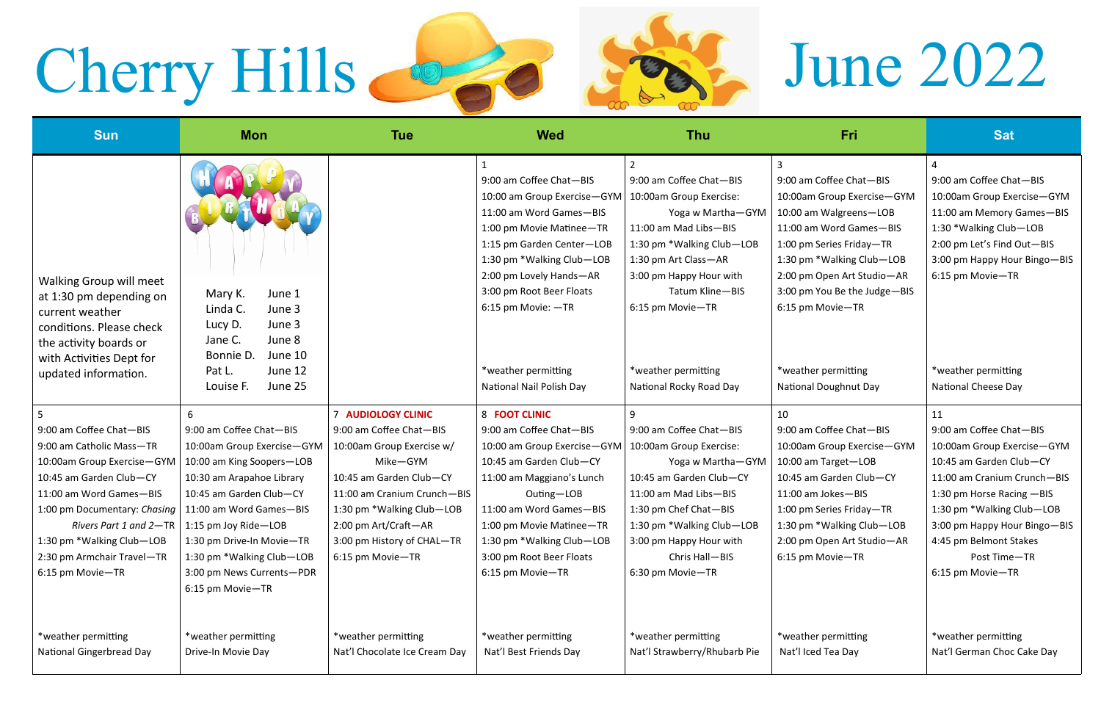## Cherry Hills **1978** Seat, June 2022





| <b>Sun</b>                                                                                                                                                     | <b>Mon</b>                                                                                                | <b>Tue</b>                                     | <b>Wed</b>                                                                                                                                                                                                                                           | <b>Thu</b>                                                                                                                                                                                                              | Fri                                                                                                                                                                                                                                                   | <b>Sat</b>                                                                                                                                                                                      |
|----------------------------------------------------------------------------------------------------------------------------------------------------------------|-----------------------------------------------------------------------------------------------------------|------------------------------------------------|------------------------------------------------------------------------------------------------------------------------------------------------------------------------------------------------------------------------------------------------------|-------------------------------------------------------------------------------------------------------------------------------------------------------------------------------------------------------------------------|-------------------------------------------------------------------------------------------------------------------------------------------------------------------------------------------------------------------------------------------------------|-------------------------------------------------------------------------------------------------------------------------------------------------------------------------------------------------|
| <b>Walking Group will meet</b><br>at 1:30 pm depending on<br>current weather<br>conditions. Please check<br>the activity boards or<br>with Activities Dept for | Mary K.<br>June 1<br>Linda C.<br>June 3<br>June 3<br>Lucy D.<br>June 8<br>Jane C.<br>Bonnie D.<br>June 10 |                                                | 9:00 am Coffee Chat-BIS<br>10:00 am Group Exercise-GYM<br>11:00 am Word Games-BIS<br>1:00 pm Movie Matinee-TR<br>1:15 pm Garden Center-LOB<br>1:30 pm *Walking Club-LOB<br>2:00 pm Lovely Hands-AR<br>3:00 pm Root Beer Floats<br>6:15 pm Movie: -TR | 9:00 am Coffee Chat-BIS<br>10:00am Group Exercise:<br>Yoga w Martha-GYM<br>11:00 am Mad Libs-BIS<br>1:30 pm *Walking Club-LOB<br>1:30 pm Art Class-AR<br>3:00 pm Happy Hour with<br>Tatum Kline-BIS<br>6:15 pm Movie-TR | 9:00 am Coffee Chat-BIS<br>10:00am Group Exercise-GYM<br>10:00 am Walgreens-LOB<br>11:00 am Word Games-BIS<br>1:00 pm Series Friday-TR<br>1:30 pm *Walking Club-LOB<br>2:00 pm Open Art Studio-AR<br>3:00 pm You Be the Judge-BIS<br>6:15 pm Movie-TR | 9:00 am Coffee Chat-BIS<br>10:00am Group Exercise-GYM<br>11:00 am Memory Games-BIS<br>1:30 * Walking Club-LOB<br>2:00 pm Let's Find Out-BIS<br>3:00 pm Happy Hour Bingo-BIS<br>6:15 pm Movie-TR |
| updated information.                                                                                                                                           | Pat L.<br>June 12<br>June 25<br>Louise F.                                                                 |                                                | *weather permitting<br>National Nail Polish Day                                                                                                                                                                                                      | *weather permitting<br>National Rocky Road Day                                                                                                                                                                          | *weather permitting<br><b>National Doughnut Day</b>                                                                                                                                                                                                   | *weather permitting<br>National Cheese Day                                                                                                                                                      |
| 5                                                                                                                                                              | 6                                                                                                         | <b>7 AUDIOLOGY CLINIC</b>                      | 8 FOOT CLINIC                                                                                                                                                                                                                                        | 9                                                                                                                                                                                                                       | 10                                                                                                                                                                                                                                                    | 11                                                                                                                                                                                              |
| 9:00 am Coffee Chat-BIS                                                                                                                                        | 9:00 am Coffee Chat-BIS                                                                                   | 9:00 am Coffee Chat-BIS                        | 9:00 am Coffee Chat-BIS                                                                                                                                                                                                                              | 9:00 am Coffee Chat-BIS                                                                                                                                                                                                 | 9:00 am Coffee Chat-BIS                                                                                                                                                                                                                               | 9:00 am Coffee Chat-BIS                                                                                                                                                                         |
| 9:00 am Catholic Mass-TR                                                                                                                                       | 10:00am Group Exercise-GYM                                                                                | 10:00am Group Exercise w/                      | 10:00 am Group Exercise-GYM                                                                                                                                                                                                                          | 10:00am Group Exercise:                                                                                                                                                                                                 | 10:00am Group Exercise-GYM                                                                                                                                                                                                                            | 10:00am Group Exercise-GYM                                                                                                                                                                      |
| 10:00am Group Exercise-GYM                                                                                                                                     | 10:00 am King Soopers-LOB                                                                                 | Mike-GYM                                       | 10:45 am Garden Club-CY                                                                                                                                                                                                                              | Yoga w Martha-GYM                                                                                                                                                                                                       | 10:00 am Target-LOB                                                                                                                                                                                                                                   | 10:45 am Garden Club-CY                                                                                                                                                                         |
| 10:45 am Garden Club-CY                                                                                                                                        | 10:30 am Arapahoe Library                                                                                 | 10:45 am Garden Club-CY                        | 11:00 am Maggiano's Lunch                                                                                                                                                                                                                            | 10:45 am Garden Club-CY                                                                                                                                                                                                 | 10:45 am Garden Club-CY                                                                                                                                                                                                                               | 11:00 am Cranium Crunch-BIS                                                                                                                                                                     |
| 11:00 am Word Games-BIS                                                                                                                                        | 10:45 am Garden Club-CY                                                                                   | 11:00 am Cranium Crunch-BIS                    | Outing-LOB                                                                                                                                                                                                                                           | 11:00 am Mad Libs-BIS                                                                                                                                                                                                   | 11:00 am Jokes-BIS                                                                                                                                                                                                                                    | 1:30 pm Horse Racing -BIS                                                                                                                                                                       |
| 1:00 pm Documentary: Chasing                                                                                                                                   | 11:00 am Word Games-BIS                                                                                   | 1:30 pm *Walking Club-LOB                      | 11:00 am Word Games-BIS                                                                                                                                                                                                                              | 1:30 pm Chef Chat-BIS                                                                                                                                                                                                   | 1:00 pm Series Friday-TR                                                                                                                                                                                                                              | 1:30 pm *Walking Club-LOB                                                                                                                                                                       |
| Rivers Part 1 and $2-TR$                                                                                                                                       | 1:15 pm Joy Ride-LOB                                                                                      | 2:00 pm Art/Craft-AR                           | 1:00 pm Movie Matinee-TR                                                                                                                                                                                                                             | 1:30 pm *Walking Club-LOB                                                                                                                                                                                               | 1:30 pm *Walking Club-LOB                                                                                                                                                                                                                             | 3:00 pm Happy Hour Bingo-BIS                                                                                                                                                                    |
| 1:30 pm *Walking Club-LOB<br>2:30 pm Armchair Travel-TR                                                                                                        | 1:30 pm Drive-In Movie-TR<br>1:30 pm *Walking Club-LOB                                                    | 3:00 pm History of CHAL-TR<br>6:15 pm Movie-TR | 1:30 pm *Walking Club-LOB<br>3:00 pm Root Beer Floats                                                                                                                                                                                                | 3:00 pm Happy Hour with<br>Chris Hall-BIS                                                                                                                                                                               | 2:00 pm Open Art Studio-AR<br>6:15 pm Movie-TR                                                                                                                                                                                                        | 4:45 pm Belmont Stakes<br>Post Time-TR                                                                                                                                                          |
| 6:15 pm Movie-TR                                                                                                                                               | 3:00 pm News Currents-PDR                                                                                 |                                                | 6:15 pm Movie-TR                                                                                                                                                                                                                                     | 6:30 pm Movie-TR                                                                                                                                                                                                        |                                                                                                                                                                                                                                                       | 6:15 pm Movie-TR                                                                                                                                                                                |
|                                                                                                                                                                | 6:15 pm Movie-TR                                                                                          |                                                |                                                                                                                                                                                                                                                      |                                                                                                                                                                                                                         |                                                                                                                                                                                                                                                       |                                                                                                                                                                                                 |
|                                                                                                                                                                |                                                                                                           |                                                |                                                                                                                                                                                                                                                      |                                                                                                                                                                                                                         |                                                                                                                                                                                                                                                       |                                                                                                                                                                                                 |
| *weather permitting                                                                                                                                            | *weather permitting                                                                                       | *weather permitting                            | *weather permitting                                                                                                                                                                                                                                  | *weather permitting                                                                                                                                                                                                     | *weather permitting                                                                                                                                                                                                                                   | *weather permitting                                                                                                                                                                             |
| <b>National Gingerbread Day</b>                                                                                                                                | Drive-In Movie Day                                                                                        | Nat'l Chocolate Ice Cream Day                  | Nat'l Best Friends Day                                                                                                                                                                                                                               | Nat'l Strawberry/Rhubarb Pie                                                                                                                                                                                            | Nat'l Iced Tea Day                                                                                                                                                                                                                                    | Nat'l German Choc Cake Day                                                                                                                                                                      |
|                                                                                                                                                                |                                                                                                           |                                                |                                                                                                                                                                                                                                                      |                                                                                                                                                                                                                         |                                                                                                                                                                                                                                                       |                                                                                                                                                                                                 |